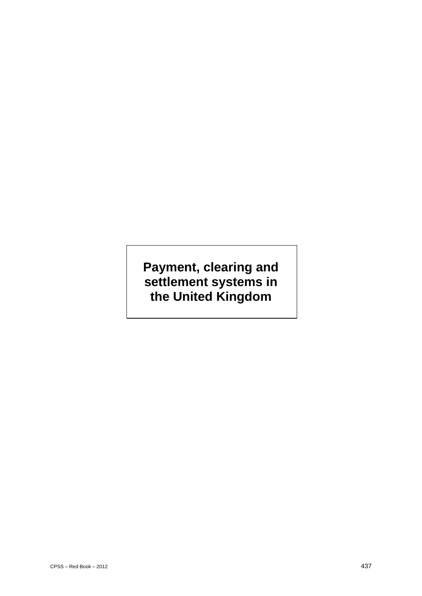# **Payment, clearing and settlement systems in the United Kingdom**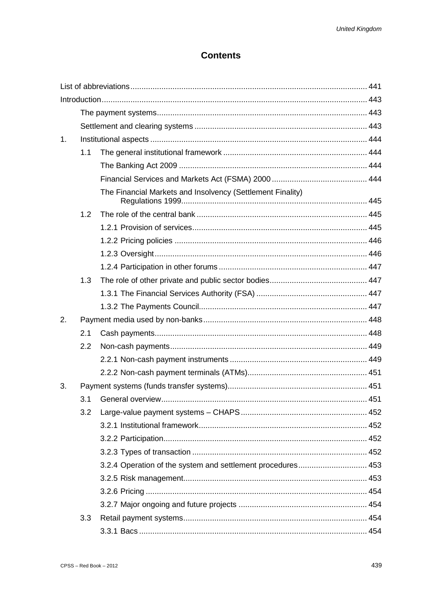### **Contents**

| 1. |     |                                                             |  |
|----|-----|-------------------------------------------------------------|--|
|    | 1.1 |                                                             |  |
|    |     |                                                             |  |
|    |     |                                                             |  |
|    |     | The Financial Markets and Insolvency (Settlement Finality)  |  |
|    | 1.2 |                                                             |  |
|    |     |                                                             |  |
|    |     |                                                             |  |
|    |     |                                                             |  |
|    |     |                                                             |  |
|    | 1.3 |                                                             |  |
|    |     |                                                             |  |
|    |     |                                                             |  |
| 2. |     |                                                             |  |
|    | 2.1 |                                                             |  |
|    | 2.2 |                                                             |  |
|    |     |                                                             |  |
|    |     |                                                             |  |
| 3. |     |                                                             |  |
|    |     |                                                             |  |
|    | 3.2 |                                                             |  |
|    |     |                                                             |  |
|    |     |                                                             |  |
|    |     |                                                             |  |
|    |     | 3.2.4 Operation of the system and settlement procedures 453 |  |
|    |     |                                                             |  |
|    |     |                                                             |  |
|    |     |                                                             |  |
|    | 3.3 |                                                             |  |
|    |     |                                                             |  |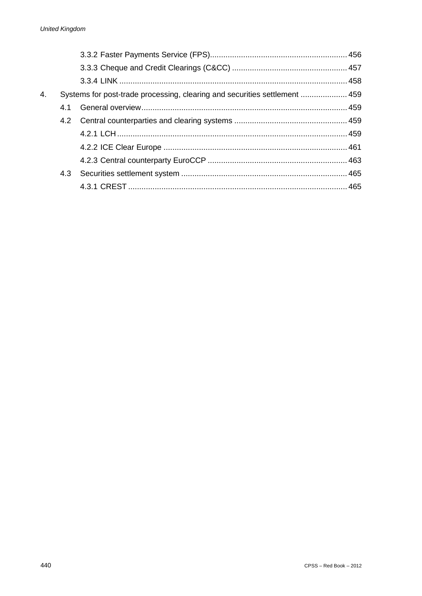| 4. | Systems for post-trade processing, clearing and securities settlement  459 |  |  |
|----|----------------------------------------------------------------------------|--|--|
|    | 4.1                                                                        |  |  |
|    |                                                                            |  |  |
|    |                                                                            |  |  |
|    |                                                                            |  |  |
|    |                                                                            |  |  |
|    | 4.3                                                                        |  |  |
|    |                                                                            |  |  |
|    |                                                                            |  |  |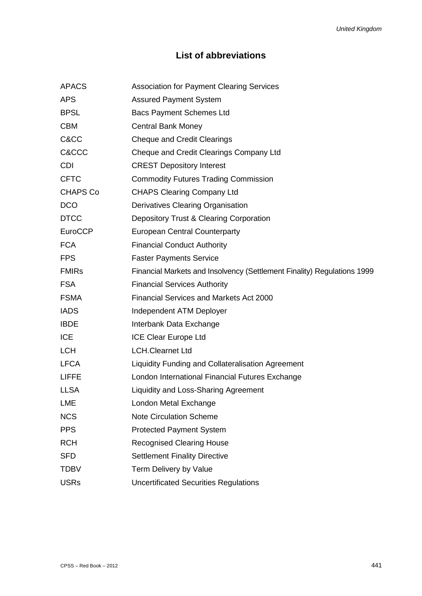## **List of abbreviations**

| <b>Association for Payment Clearing Services</b>                        |
|-------------------------------------------------------------------------|
| <b>Assured Payment System</b>                                           |
| <b>Bacs Payment Schemes Ltd</b>                                         |
| <b>Central Bank Money</b>                                               |
| <b>Cheque and Credit Clearings</b>                                      |
| Cheque and Credit Clearings Company Ltd                                 |
| <b>CREST Depository Interest</b>                                        |
| <b>Commodity Futures Trading Commission</b>                             |
| <b>CHAPS Clearing Company Ltd</b>                                       |
| Derivatives Clearing Organisation                                       |
| Depository Trust & Clearing Corporation                                 |
| <b>European Central Counterparty</b>                                    |
| <b>Financial Conduct Authority</b>                                      |
| <b>Faster Payments Service</b>                                          |
| Financial Markets and Insolvency (Settlement Finality) Regulations 1999 |
| <b>Financial Services Authority</b>                                     |
| <b>Financial Services and Markets Act 2000</b>                          |
| Independent ATM Deployer                                                |
| Interbank Data Exchange                                                 |
| <b>ICE Clear Europe Ltd</b>                                             |
| <b>LCH.Clearnet Ltd</b>                                                 |
| Liquidity Funding and Collateralisation Agreement                       |
| London International Financial Futures Exchange                         |
| <b>Liquidity and Loss-Sharing Agreement</b>                             |
| London Metal Exchange                                                   |
| <b>Note Circulation Scheme</b>                                          |
| <b>Protected Payment System</b>                                         |
| <b>Recognised Clearing House</b>                                        |
| <b>Settlement Finality Directive</b>                                    |
| Term Delivery by Value                                                  |
| <b>Uncertificated Securities Regulations</b>                            |
|                                                                         |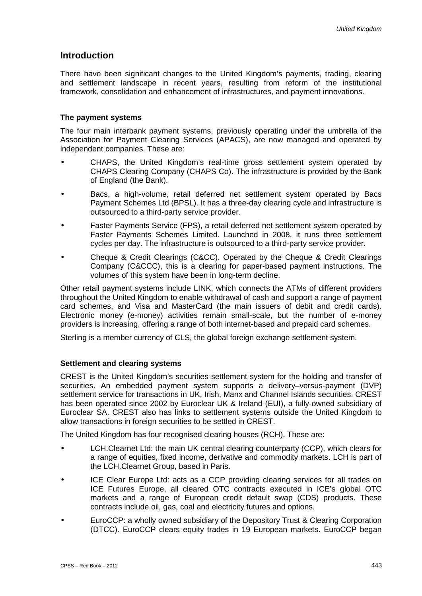### **Introduction**

There have been significant changes to the United Kingdom's payments, trading, clearing and settlement landscape in recent years, resulting from reform of the institutional framework, consolidation and enhancement of infrastructures, and payment innovations.

#### **The payment systems**

The four main interbank payment systems, previously operating under the umbrella of the Association for Payment Clearing Services (APACS), are now managed and operated by independent companies. These are:

- CHAPS, the United Kingdom's real-time gross settlement system operated by CHAPS Clearing Company (CHAPS Co). The infrastructure is provided by the Bank of England (the Bank).
- Bacs, a high-volume, retail deferred net settlement system operated by Bacs Payment Schemes Ltd (BPSL). It has a three-day clearing cycle and infrastructure is outsourced to a third-party service provider.
- Faster Payments Service (FPS), a retail deferred net settlement system operated by Faster Payments Schemes Limited. Launched in 2008, it runs three settlement cycles per day. The infrastructure is outsourced to a third-party service provider.
- Cheque & Credit Clearings (C&CC). Operated by the Cheque & Credit Clearings Company (C&CCC), this is a clearing for paper-based payment instructions. The volumes of this system have been in long-term decline.

Other retail payment systems include LINK, which connects the ATMs of different providers throughout the United Kingdom to enable withdrawal of cash and support a range of payment card schemes, and Visa and MasterCard (the main issuers of debit and credit cards). Electronic money (e-money) activities remain small-scale, but the number of e-money providers is increasing, offering a range of both internet-based and prepaid card schemes.

Sterling is a member currency of CLS, the global foreign exchange settlement system.

### **Settlement and clearing systems**

CREST is the United Kingdom's securities settlement system for the holding and transfer of securities. An embedded payment system supports a delivery–versus-payment (DVP) settlement service for transactions in UK, Irish, Manx and Channel Islands securities. CREST has been operated since 2002 by Euroclear UK & Ireland (EUI), a fully-owned subsidiary of Euroclear SA. CREST also has links to settlement systems outside the United Kingdom to allow transactions in foreign securities to be settled in CREST.

The United Kingdom has four recognised clearing houses (RCH). These are:

- LCH.Clearnet Ltd: the main UK central clearing counterparty (CCP), which clears for a range of equities, fixed income, derivative and commodity markets. LCH is part of the LCH.Clearnet Group, based in Paris.
- ICE Clear Europe Ltd: acts as a CCP providing clearing services for all trades on ICE Futures Europe, all cleared OTC contracts executed in ICE's global OTC markets and a range of European credit default swap (CDS) products. These contracts include oil, gas, coal and electricity futures and options.
- EuroCCP: a wholly owned subsidiary of the Depository Trust & Clearing Corporation (DTCC). EuroCCP clears equity trades in 19 European markets. EuroCCP began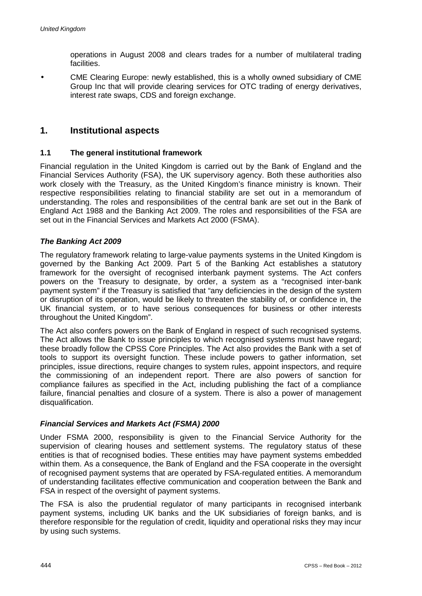operations in August 2008 and clears trades for a number of multilateral trading facilities.

CME Clearing Europe: newly established, this is a wholly owned subsidiary of CME Group Inc that will provide clearing services for OTC trading of energy derivatives, interest rate swaps, CDS and foreign exchange.

### **1. Institutional aspects**

### **1.1 The general institutional framework**

Financial regulation in the United Kingdom is carried out by the Bank of England and the Financial Services Authority (FSA), the UK supervisory agency. Both these authorities also work closely with the Treasury, as the United Kingdom's finance ministry is known. Their respective responsibilities relating to financial stability are set out in a memorandum of understanding. The roles and responsibilities of the central bank are set out in the Bank of England Act 1988 and the Banking Act 2009. The roles and responsibilities of the FSA are set out in the Financial Services and Markets Act 2000 (FSMA).

### *The Banking Act 2009*

The regulatory framework relating to large-value payments systems in the United Kingdom is governed by the Banking Act 2009. Part 5 of the Banking Act establishes a statutory framework for the oversight of recognised interbank payment systems. The Act confers powers on the Treasury to designate, by order, a system as a "recognised inter-bank payment system" if the Treasury is satisfied that "any deficiencies in the design of the system or disruption of its operation, would be likely to threaten the stability of, or confidence in, the UK financial system, or to have serious consequences for business or other interests throughout the United Kingdom".

The Act also confers powers on the Bank of England in respect of such recognised systems. The Act allows the Bank to issue principles to which recognised systems must have regard; these broadly follow the CPSS Core Principles. The Act also provides the Bank with a set of tools to support its oversight function. These include powers to gather information, set principles, issue directions, require changes to system rules, appoint inspectors, and require the commissioning of an independent report. There are also powers of sanction for compliance failures as specified in the Act, including publishing the fact of a compliance failure, financial penalties and closure of a system. There is also a power of management disqualification.

### *Financial Services and Markets Act (FSMA) 2000*

Under FSMA 2000, responsibility is given to the Financial Service Authority for the supervision of clearing houses and settlement systems. The regulatory status of these entities is that of recognised bodies. These entities may have payment systems embedded within them. As a consequence, the Bank of England and the FSA cooperate in the oversight of recognised payment systems that are operated by FSA-regulated entities. A memorandum of understanding facilitates effective communication and cooperation between the Bank and FSA in respect of the oversight of payment systems.

The FSA is also the prudential regulator of many participants in recognised interbank payment systems, including UK banks and the UK subsidiaries of foreign banks, and is therefore responsible for the regulation of credit, liquidity and operational risks they may incur by using such systems.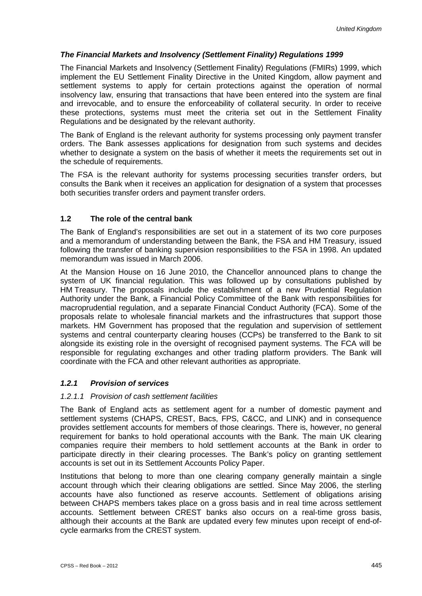### *The Financial Markets and Insolvency (Settlement Finality) Regulations 1999*

The Financial Markets and Insolvency (Settlement Finality) Regulations (FMIRs) 1999, which implement the EU Settlement Finality Directive in the United Kingdom, allow payment and settlement systems to apply for certain protections against the operation of normal insolvency law, ensuring that transactions that have been entered into the system are final and irrevocable, and to ensure the enforceability of collateral security. In order to receive these protections, systems must meet the criteria set out in the Settlement Finality Regulations and be designated by the relevant authority.

The Bank of England is the relevant authority for systems processing only payment transfer orders. The Bank assesses applications for designation from such systems and decides whether to designate a system on the basis of whether it meets the requirements set out in the schedule of requirements.

The FSA is the relevant authority for systems processing securities transfer orders, but consults the Bank when it receives an application for designation of a system that processes both securities transfer orders and payment transfer orders.

### **1.2 The role of the central bank**

The Bank of England's responsibilities are set out in a statement of its two core purposes and a memorandum of understanding between the Bank, the FSA and HM Treasury, issued following the transfer of banking supervision responsibilities to the FSA in 1998. An updated memorandum was issued in March 2006.

At the Mansion House on 16 June 2010, the Chancellor announced plans to change the system of UK financial regulation. This was followed up by consultations published by HM Treasury. The proposals include the establishment of a new Prudential Regulation Authority under the Bank, a Financial Policy Committee of the Bank with responsibilities for macroprudential regulation, and a separate Financial Conduct Authority (FCA). Some of the proposals relate to wholesale financial markets and the infrastructures that support those markets. HM Government has proposed that the regulation and supervision of settlement systems and central counterparty clearing houses (CCPs) be transferred to the Bank to sit alongside its existing role in the oversight of recognised payment systems. The FCA will be responsible for regulating exchanges and other trading platform providers. The Bank will coordinate with the FCA and other relevant authorities as appropriate.

### *1.2.1 Provision of services*

### *1.2.1.1 Provision of cash settlement facilities*

The Bank of England acts as settlement agent for a number of domestic payment and settlement systems (CHAPS, CREST, Bacs, FPS, C&CC, and LINK) and in consequence provides settlement accounts for members of those clearings. There is, however, no general requirement for banks to hold operational accounts with the Bank. The main UK clearing companies require their members to hold settlement accounts at the Bank in order to participate directly in their clearing processes. The Bank's policy on granting settlement accounts is set out in its Settlement Accounts Policy Paper.

Institutions that belong to more than one clearing company generally maintain a single account through which their clearing obligations are settled. Since May 2006, the sterling accounts have also functioned as reserve accounts. Settlement of obligations arising between CHAPS members takes place on a gross basis and in real time across settlement accounts. Settlement between CREST banks also occurs on a real-time gross basis, although their accounts at the Bank are updated every few minutes upon receipt of end-ofcycle earmarks from the CREST system.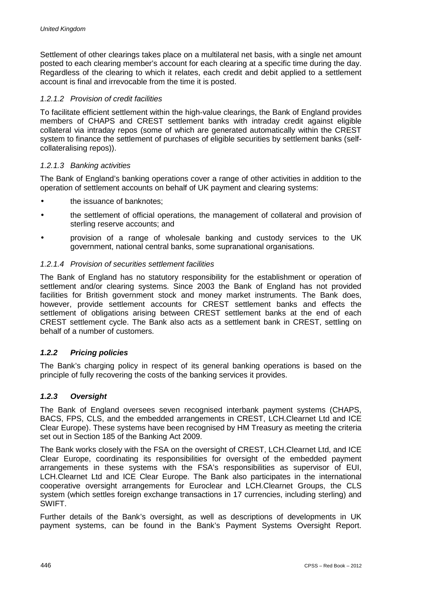Settlement of other clearings takes place on a multilateral net basis, with a single net amount posted to each clearing member's account for each clearing at a specific time during the day. Regardless of the clearing to which it relates, each credit and debit applied to a settlement account is final and irrevocable from the time it is posted.

### *1.2.1.2 Provision of credit facilities*

To facilitate efficient settlement within the high-value clearings, the Bank of England provides members of CHAPS and CREST settlement banks with intraday credit against eligible collateral via intraday repos (some of which are generated automatically within the CREST system to finance the settlement of purchases of eligible securities by settlement banks (selfcollateralising repos)).

### *1.2.1.3 Banking activities*

The Bank of England's banking operations cover a range of other activities in addition to the operation of settlement accounts on behalf of UK payment and clearing systems:

- the issuance of banknotes;
- the settlement of official operations, the management of collateral and provision of sterling reserve accounts; and
- provision of a range of wholesale banking and custody services to the UK government, national central banks, some supranational organisations.

#### *1.2.1.4 Provision of securities settlement facilities*

The Bank of England has no statutory responsibility for the establishment or operation of settlement and/or clearing systems. Since 2003 the Bank of England has not provided facilities for British government stock and money market instruments. The Bank does, however, provide settlement accounts for CREST settlement banks and effects the settlement of obligations arising between CREST settlement banks at the end of each CREST settlement cycle. The Bank also acts as a settlement bank in CREST, settling on behalf of a number of customers.

### *1.2.2 Pricing policies*

The Bank's charging policy in respect of its general banking operations is based on the principle of fully recovering the costs of the banking services it provides.

#### *1.2.3 Oversight*

The Bank of England oversees seven recognised interbank payment systems (CHAPS, BACS, FPS, CLS, and the embedded arrangements in CREST, LCH.Clearnet Ltd and ICE Clear Europe). These systems have been recognised by HM Treasury as meeting the criteria set out in Section 185 of the Banking Act 2009.

The Bank works closely with the FSA on the oversight of CREST, LCH.Clearnet Ltd, and ICE Clear Europe, coordinating its responsibilities for oversight of the embedded payment arrangements in these systems with the FSA's responsibilities as supervisor of EUI, LCH.Clearnet Ltd and ICE Clear Europe. The Bank also participates in the international cooperative oversight arrangements for Euroclear and LCH.Clearnet Groups, the CLS system (which settles foreign exchange transactions in 17 currencies, including sterling) and SWIFT.

Further details of the Bank's oversight, as well as descriptions of developments in UK payment systems, can be found in the Bank's Payment Systems Oversight Report.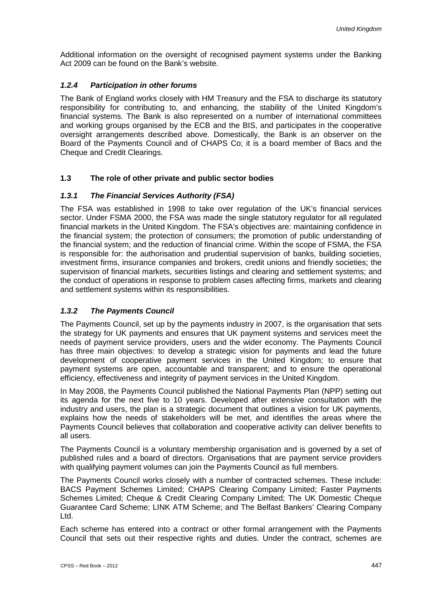Additional information on the oversight of recognised payment systems under the Banking Act 2009 can be found on the Bank's website.

### *1.2.4 Participation in other forums*

The Bank of England works closely with HM Treasury and the FSA to discharge its statutory responsibility for contributing to, and enhancing, the stability of the United Kingdom's financial systems. The Bank is also represented on a number of international committees and working groups organised by the ECB and the BIS, and participates in the cooperative oversight arrangements described above. Domestically, the Bank is an observer on the Board of the Payments Council and of CHAPS Co; it is a board member of Bacs and the Cheque and Credit Clearings.

### **1.3 The role of other private and public sector bodies**

### *1.3.1 The Financial Services Authority (FSA)*

The FSA was established in 1998 to take over regulation of the UK's financial services sector. Under FSMA 2000, the FSA was made the single statutory regulator for all regulated financial markets in the United Kingdom. The FSA's objectives are: maintaining confidence in the financial system; the protection of consumers; the promotion of public understanding of the financial system; and the reduction of financial crime. Within the scope of FSMA, the FSA is responsible for: the authorisation and prudential supervision of banks, building societies, investment firms, insurance companies and brokers, credit unions and friendly societies; the supervision of financial markets, securities listings and clearing and settlement systems; and the conduct of operations in response to problem cases affecting firms, markets and clearing and settlement systems within its responsibilities.

### *1.3.2 The Payments Council*

The Payments Council, set up by the payments industry in 2007, is the organisation that sets the strategy for UK payments and ensures that UK payment systems and services meet the needs of payment service providers, users and the wider economy. The Payments Council has three main objectives: to develop a strategic vision for payments and lead the future development of cooperative payment services in the United Kingdom; to ensure that payment systems are open, accountable and transparent; and to ensure the operational efficiency, effectiveness and integrity of payment services in the United Kingdom.

In May 2008, the Payments Council published the National Payments Plan (NPP) setting out its agenda for the next five to 10 years. Developed after extensive consultation with the industry and users, the plan is a strategic document that outlines a vision for UK payments, explains how the needs of stakeholders will be met, and identifies the areas where the Payments Council believes that collaboration and cooperative activity can deliver benefits to all users.

The Payments Council is a voluntary membership organisation and is governed by a set of published rules and a board of directors. Organisations that are payment service providers with qualifying payment volumes can join the Payments Council as full members.

The Payments Council works closely with a number of contracted schemes. These include: BACS Payment Schemes Limited; CHAPS Clearing Company Limited; Faster Payments Schemes Limited; Cheque & Credit Clearing Company Limited; The UK Domestic Cheque Guarantee Card Scheme; LINK ATM Scheme; and The Belfast Bankers' Clearing Company Ltd.

Each scheme has entered into a contract or other formal arrangement with the Payments Council that sets out their respective rights and duties. Under the contract, schemes are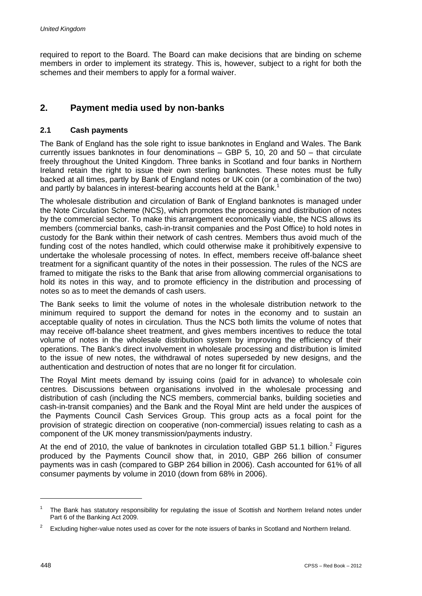required to report to the Board. The Board can make decisions that are binding on scheme members in order to implement its strategy. This is, however, subject to a right for both the schemes and their members to apply for a formal waiver.

### **2. Payment media used by non-banks**

### **2.1 Cash payments**

The Bank of England has the sole right to issue banknotes in England and Wales. The Bank currently issues banknotes in four denominations – GBP 5, 10, 20 and 50 – that circulate freely throughout the United Kingdom. Three banks in Scotland and four banks in Northern Ireland retain the right to issue their own sterling banknotes. These notes must be fully backed at all times, partly by Bank of England notes or UK coin (or a combination of the two) and partly by balances in interest-bearing accounts held at the Bank.<sup>1</sup>

The wholesale distribution and circulation of Bank of England banknotes is managed under the Note Circulation Scheme (NCS), which promotes the processing and distribution of notes by the commercial sector. To make this arrangement economically viable, the NCS allows its members (commercial banks, cash-in-transit companies and the Post Office) to hold notes in custody for the Bank within their network of cash centres. Members thus avoid much of the funding cost of the notes handled, which could otherwise make it prohibitively expensive to undertake the wholesale processing of notes. In effect, members receive off-balance sheet treatment for a significant quantity of the notes in their possession. The rules of the NCS are framed to mitigate the risks to the Bank that arise from allowing commercial organisations to hold its notes in this way, and to promote efficiency in the distribution and processing of notes so as to meet the demands of cash users.

The Bank seeks to limit the volume of notes in the wholesale distribution network to the minimum required to support the demand for notes in the economy and to sustain an acceptable quality of notes in circulation. Thus the NCS both limits the volume of notes that may receive off-balance sheet treatment, and gives members incentives to reduce the total volume of notes in the wholesale distribution system by improving the efficiency of their operations. The Bank's direct involvement in wholesale processing and distribution is limited to the issue of new notes, the withdrawal of notes superseded by new designs, and the authentication and destruction of notes that are no longer fit for circulation.

The Royal Mint meets demand by issuing coins (paid for in advance) to wholesale coin centres. Discussions between organisations involved in the wholesale processing and distribution of cash (including the NCS members, commercial banks, building societies and cash-in-transit companies) and the Bank and the Royal Mint are held under the auspices of the Payments Council Cash Services Group. This group acts as a focal point for the provision of strategic direction on cooperative (non-commercial) issues relating to cash as a component of the UK money transmission/payments industry.

At the end of 2010, the value of banknotes in circulation totalled GBP 51.1 billion.<sup>2</sup> Figures produced by the Payments Council show that, in 2010, GBP 266 billion of consumer payments was in cash (compared to GBP 264 billion in 2006). Cash accounted for 61% of all consumer payments by volume in 2010 (down from 68% in 2006).

-

<sup>1</sup> The Bank has statutory responsibility for regulating the issue of Scottish and Northern Ireland notes under Part 6 of the Banking Act 2009.

<sup>2</sup> Excluding higher-value notes used as cover for the note issuers of banks in Scotland and Northern Ireland.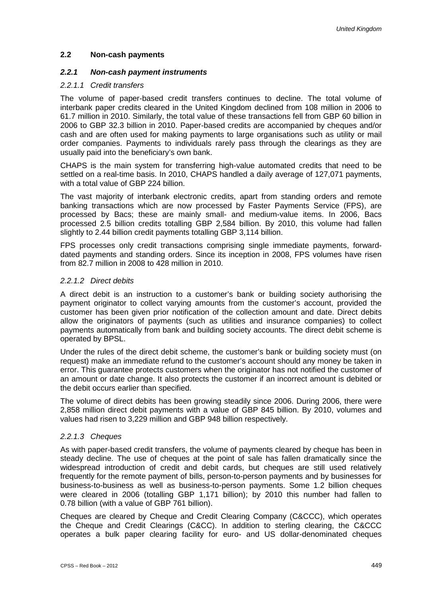### **2.2 Non-cash payments**

#### *2.2.1 Non-cash payment instruments*

#### *2.2.1.1 Credit transfers*

The volume of paper-based credit transfers continues to decline. The total volume of interbank paper credits cleared in the United Kingdom declined from 108 million in 2006 to 61.7 million in 2010. Similarly, the total value of these transactions fell from GBP 60 billion in 2006 to GBP 32.3 billion in 2010. Paper-based credits are accompanied by cheques and/or cash and are often used for making payments to large organisations such as utility or mail order companies. Payments to individuals rarely pass through the clearings as they are usually paid into the beneficiary's own bank.

CHAPS is the main system for transferring high-value automated credits that need to be settled on a real-time basis. In 2010, CHAPS handled a daily average of 127,071 payments, with a total value of GBP 224 billion.

The vast majority of interbank electronic credits, apart from standing orders and remote banking transactions which are now processed by Faster Payments Service (FPS), are processed by Bacs; these are mainly small- and medium-value items. In 2006, Bacs processed 2.5 billion credits totalling GBP 2,584 billion. By 2010, this volume had fallen slightly to 2.44 billion credit payments totalling GBP 3,114 billion.

FPS processes only credit transactions comprising single immediate payments, forwarddated payments and standing orders. Since its inception in 2008, FPS volumes have risen from 82.7 million in 2008 to 428 million in 2010.

#### *2.2.1.2 Direct debits*

A direct debit is an instruction to a customer's bank or building society authorising the payment originator to collect varying amounts from the customer's account, provided the customer has been given prior notification of the collection amount and date. Direct debits allow the originators of payments (such as utilities and insurance companies) to collect payments automatically from bank and building society accounts. The direct debit scheme is operated by BPSL.

Under the rules of the direct debit scheme, the customer's bank or building society must (on request) make an immediate refund to the customer's account should any money be taken in error. This guarantee protects customers when the originator has not notified the customer of an amount or date change. It also protects the customer if an incorrect amount is debited or the debit occurs earlier than specified.

The volume of direct debits has been growing steadily since 2006. During 2006, there were 2,858 million direct debit payments with a value of GBP 845 billion. By 2010, volumes and values had risen to 3,229 million and GBP 948 billion respectively.

### *2.2.1.3 Cheques*

As with paper-based credit transfers, the volume of payments cleared by cheque has been in steady decline. The use of cheques at the point of sale has fallen dramatically since the widespread introduction of credit and debit cards, but cheques are still used relatively frequently for the remote payment of bills, person-to-person payments and by businesses for business-to-business as well as business-to-person payments. Some 1.2 billion cheques were cleared in 2006 (totalling GBP 1,171 billion); by 2010 this number had fallen to 0.78 billion (with a value of GBP 761 billion).

Cheques are cleared by Cheque and Credit Clearing Company (C&CCC), which operates the Cheque and Credit Clearings (C&CC). In addition to sterling clearing, the C&CCC operates a bulk paper clearing facility for euro- and US dollar-denominated cheques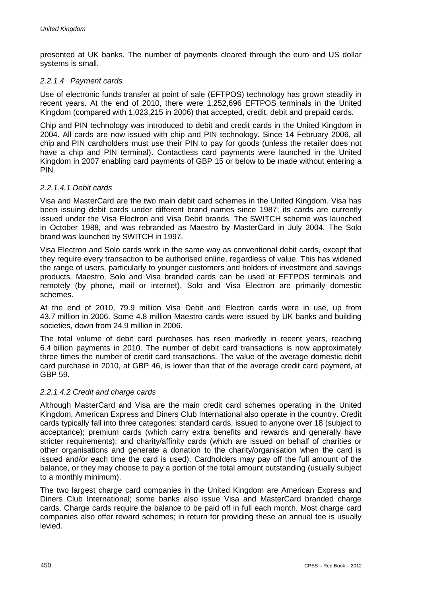presented at UK banks. The number of payments cleared through the euro and US dollar systems is small.

### *2.2.1.4 Payment cards*

Use of electronic funds transfer at point of sale (EFTPOS) technology has grown steadily in recent years. At the end of 2010, there were 1,252,696 EFTPOS terminals in the United Kingdom (compared with 1,023,215 in 2006) that accepted, credit, debit and prepaid cards.

Chip and PIN technology was introduced to debit and credit cards in the United Kingdom in 2004. All cards are now issued with chip and PIN technology. Since 14 February 2006, all chip and PIN cardholders must use their PIN to pay for goods (unless the retailer does not have a chip and PIN terminal). Contactless card payments were launched in the United Kingdom in 2007 enabling card payments of GBP 15 or below to be made without entering a PIN.

### *2.2.1.4.1 Debit cards*

Visa and MasterCard are the two main debit card schemes in the United Kingdom. Visa has been issuing debit cards under different brand names since 1987; its cards are currently issued under the Visa Electron and Visa Debit brands. The SWITCH scheme was launched in October 1988, and was rebranded as Maestro by MasterCard in July 2004. The Solo brand was launched by SWITCH in 1997.

Visa Electron and Solo cards work in the same way as conventional debit cards, except that they require every transaction to be authorised online, regardless of value. This has widened the range of users, particularly to younger customers and holders of investment and savings products. Maestro, Solo and Visa branded cards can be used at EFTPOS terminals and remotely (by phone, mail or internet). Solo and Visa Electron are primarily domestic schemes.

At the end of 2010, 79.9 million Visa Debit and Electron cards were in use, up from 43.7 million in 2006. Some 4.8 million Maestro cards were issued by UK banks and building societies, down from 24.9 million in 2006.

The total volume of debit card purchases has risen markedly in recent years, reaching 6.4 billion payments in 2010. The number of debit card transactions is now approximately three times the number of credit card transactions. The value of the average domestic debit card purchase in 2010, at GBP 46, is lower than that of the average credit card payment, at GBP 59.

### *2.2.1.4.2 Credit and charge cards*

Although MasterCard and Visa are the main credit card schemes operating in the United Kingdom, American Express and Diners Club International also operate in the country. Credit cards typically fall into three categories: standard cards, issued to anyone over 18 (subject to acceptance); premium cards (which carry extra benefits and rewards and generally have stricter requirements); and charity/affinity cards (which are issued on behalf of charities or other organisations and generate a donation to the charity/organisation when the card is issued and/or each time the card is used). Cardholders may pay off the full amount of the balance, or they may choose to pay a portion of the total amount outstanding (usually subject to a monthly minimum).

The two largest charge card companies in the United Kingdom are American Express and Diners Club International; some banks also issue Visa and MasterCard branded charge cards. Charge cards require the balance to be paid off in full each month. Most charge card companies also offer reward schemes; in return for providing these an annual fee is usually levied.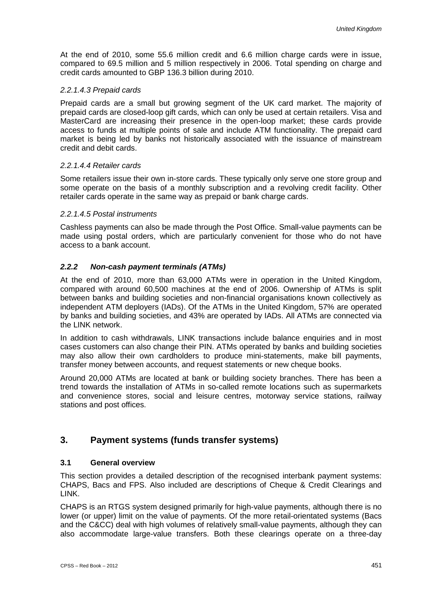At the end of 2010, some 55.6 million credit and 6.6 million charge cards were in issue, compared to 69.5 million and 5 million respectively in 2006. Total spending on charge and credit cards amounted to GBP 136.3 billion during 2010.

### *2.2.1.4.3 Prepaid cards*

Prepaid cards are a small but growing segment of the UK card market. The majority of prepaid cards are closed-loop gift cards, which can only be used at certain retailers. Visa and MasterCard are increasing their presence in the open-loop market; these cards provide access to funds at multiple points of sale and include ATM functionality. The prepaid card market is being led by banks not historically associated with the issuance of mainstream credit and debit cards.

### *2.2.1.4.4 Retailer cards*

Some retailers issue their own in-store cards. These typically only serve one store group and some operate on the basis of a monthly subscription and a revolving credit facility. Other retailer cards operate in the same way as prepaid or bank charge cards.

#### *2.2.1.4.5 Postal instruments*

Cashless payments can also be made through the Post Office. Small-value payments can be made using postal orders, which are particularly convenient for those who do not have access to a bank account.

### *2.2.2 Non-cash payment terminals (ATMs)*

At the end of 2010, more than 63,000 ATMs were in operation in the United Kingdom, compared with around 60,500 machines at the end of 2006. Ownership of ATMs is split between banks and building societies and non-financial organisations known collectively as independent ATM deployers (IADs). Of the ATMs in the United Kingdom, 57% are operated by banks and building societies, and 43% are operated by IADs. All ATMs are connected via the LINK network.

In addition to cash withdrawals, LINK transactions include balance enquiries and in most cases customers can also change their PIN. ATMs operated by banks and building societies may also allow their own cardholders to produce mini-statements, make bill payments, transfer money between accounts, and request statements or new cheque books.

Around 20,000 ATMs are located at bank or building society branches. There has been a trend towards the installation of ATMs in so-called remote locations such as supermarkets and convenience stores, social and leisure centres, motorway service stations, railway stations and post offices.

### **3. Payment systems (funds transfer systems)**

### **3.1 General overview**

This section provides a detailed description of the recognised interbank payment systems: CHAPS, Bacs and FPS. Also included are descriptions of Cheque & Credit Clearings and LINK.

CHAPS is an RTGS system designed primarily for high-value payments, although there is no lower (or upper) limit on the value of payments. Of the more retail-orientated systems (Bacs and the C&CC) deal with high volumes of relatively small-value payments, although they can also accommodate large-value transfers. Both these clearings operate on a three-day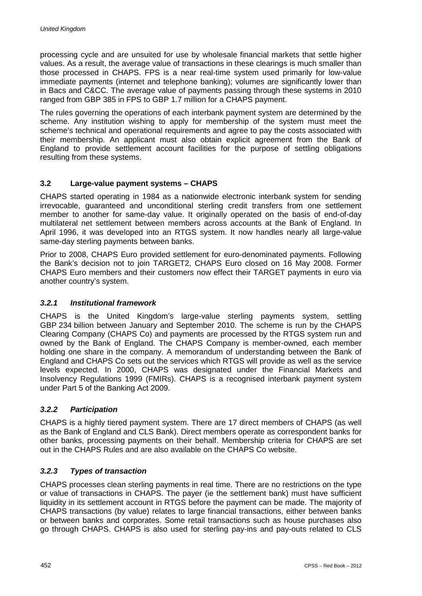processing cycle and are unsuited for use by wholesale financial markets that settle higher values. As a result, the average value of transactions in these clearings is much smaller than those processed in CHAPS. FPS is a near real-time system used primarily for low-value immediate payments (internet and telephone banking); volumes are significantly lower than in Bacs and C&CC. The average value of payments passing through these systems in 2010 ranged from GBP 385 in FPS to GBP 1.7 million for a CHAPS payment.

The rules governing the operations of each interbank payment system are determined by the scheme. Any institution wishing to apply for membership of the system must meet the scheme's technical and operational requirements and agree to pay the costs associated with their membership. An applicant must also obtain explicit agreement from the Bank of England to provide settlement account facilities for the purpose of settling obligations resulting from these systems.

### **3.2 Large-value payment systems – CHAPS**

CHAPS started operating in 1984 as a nationwide electronic interbank system for sending irrevocable, guaranteed and unconditional sterling credit transfers from one settlement member to another for same-day value. It originally operated on the basis of end-of-day multilateral net settlement between members across accounts at the Bank of England. In April 1996, it was developed into an RTGS system. It now handles nearly all large-value same-day sterling payments between banks.

Prior to 2008, CHAPS Euro provided settlement for euro-denominated payments. Following the Bank's decision not to join TARGET2, CHAPS Euro closed on 16 May 2008. Former CHAPS Euro members and their customers now effect their TARGET payments in euro via another country's system.

### *3.2.1 Institutional framework*

CHAPS is the United Kingdom's large-value sterling payments system, settling GBP 234 billion between January and September 2010. The scheme is run by the CHAPS Clearing Company (CHAPS Co) and payments are processed by the RTGS system run and owned by the Bank of England. The CHAPS Company is member-owned, each member holding one share in the company. A memorandum of understanding between the Bank of England and CHAPS Co sets out the services which RTGS will provide as well as the service levels expected. In 2000, CHAPS was designated under the Financial Markets and Insolvency Regulations 1999 (FMIRs). CHAPS is a recognised interbank payment system under Part 5 of the Banking Act 2009.

### *3.2.2 Participation*

CHAPS is a highly tiered payment system. There are 17 direct members of CHAPS (as well as the Bank of England and CLS Bank). Direct members operate as correspondent banks for other banks, processing payments on their behalf. Membership criteria for CHAPS are set out in the CHAPS Rules and are also available on the CHAPS Co website.

### *3.2.3 Types of transaction*

CHAPS processes clean sterling payments in real time. There are no restrictions on the type or value of transactions in CHAPS. The payer (ie the settlement bank) must have sufficient liquidity in its settlement account in RTGS before the payment can be made. The majority of CHAPS transactions (by value) relates to large financial transactions, either between banks or between banks and corporates. Some retail transactions such as house purchases also go through CHAPS. CHAPS is also used for sterling pay-ins and pay-outs related to CLS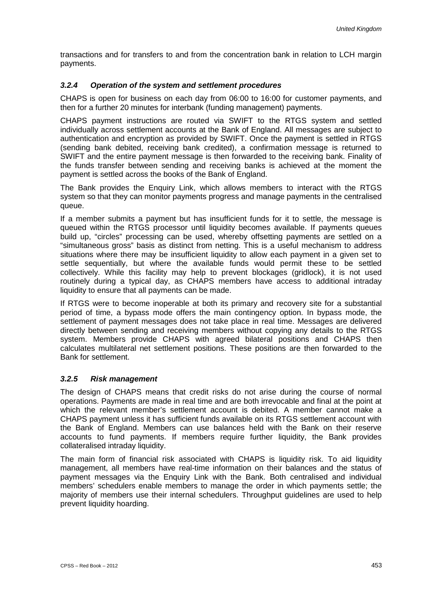transactions and for transfers to and from the concentration bank in relation to LCH margin payments.

### *3.2.4 Operation of the system and settlement procedures*

CHAPS is open for business on each day from 06:00 to 16:00 for customer payments, and then for a further 20 minutes for interbank (funding management) payments.

CHAPS payment instructions are routed via SWIFT to the RTGS system and settled individually across settlement accounts at the Bank of England. All messages are subject to authentication and encryption as provided by SWIFT. Once the payment is settled in RTGS (sending bank debited, receiving bank credited), a confirmation message is returned to SWIFT and the entire payment message is then forwarded to the receiving bank. Finality of the funds transfer between sending and receiving banks is achieved at the moment the payment is settled across the books of the Bank of England.

The Bank provides the Enquiry Link, which allows members to interact with the RTGS system so that they can monitor payments progress and manage payments in the centralised queue.

If a member submits a payment but has insufficient funds for it to settle, the message is queued within the RTGS processor until liquidity becomes available. If payments queues build up, "circles" processing can be used, whereby offsetting payments are settled on a "simultaneous gross" basis as distinct from netting. This is a useful mechanism to address situations where there may be insufficient liquidity to allow each payment in a given set to settle sequentially, but where the available funds would permit these to be settled collectively. While this facility may help to prevent blockages (gridlock), it is not used routinely during a typical day, as CHAPS members have access to additional intraday liquidity to ensure that all payments can be made.

If RTGS were to become inoperable at both its primary and recovery site for a substantial period of time, a bypass mode offers the main contingency option. In bypass mode, the settlement of payment messages does not take place in real time. Messages are delivered directly between sending and receiving members without copying any details to the RTGS system. Members provide CHAPS with agreed bilateral positions and CHAPS then calculates multilateral net settlement positions. These positions are then forwarded to the Bank for settlement.

### *3.2.5 Risk management*

The design of CHAPS means that credit risks do not arise during the course of normal operations. Payments are made in real time and are both irrevocable and final at the point at which the relevant member's settlement account is debited. A member cannot make a CHAPS payment unless it has sufficient funds available on its RTGS settlement account with the Bank of England. Members can use balances held with the Bank on their reserve accounts to fund payments. If members require further liquidity, the Bank provides collateralised intraday liquidity.

The main form of financial risk associated with CHAPS is liquidity risk. To aid liquidity management, all members have real-time information on their balances and the status of payment messages via the Enquiry Link with the Bank. Both centralised and individual members' schedulers enable members to manage the order in which payments settle; the majority of members use their internal schedulers. Throughput guidelines are used to help prevent liquidity hoarding.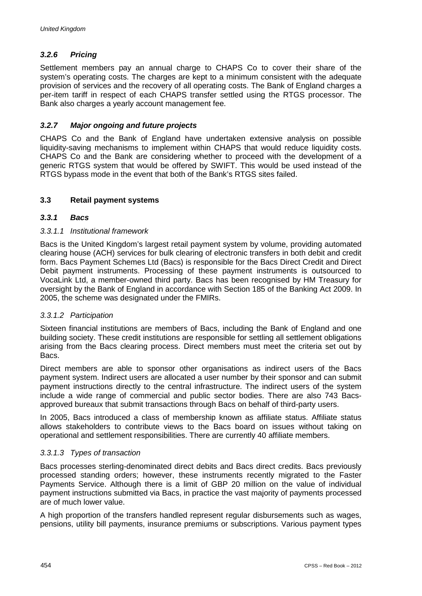### *3.2.6 Pricing*

Settlement members pay an annual charge to CHAPS Co to cover their share of the system's operating costs. The charges are kept to a minimum consistent with the adequate provision of services and the recovery of all operating costs. The Bank of England charges a per-item tariff in respect of each CHAPS transfer settled using the RTGS processor. The Bank also charges a yearly account management fee.

### *3.2.7 Major ongoing and future projects*

CHAPS Co and the Bank of England have undertaken extensive analysis on possible liquidity-saving mechanisms to implement within CHAPS that would reduce liquidity costs. CHAPS Co and the Bank are considering whether to proceed with the development of a generic RTGS system that would be offered by SWIFT. This would be used instead of the RTGS bypass mode in the event that both of the Bank's RTGS sites failed.

### **3.3 Retail payment systems**

### *3.3.1 Bacs*

### *3.3.1.1 Institutional framework*

Bacs is the United Kingdom's largest retail payment system by volume, providing automated clearing house (ACH) services for bulk clearing of electronic transfers in both debit and credit form. Bacs Payment Schemes Ltd (Bacs) is responsible for the Bacs Direct Credit and Direct Debit payment instruments. Processing of these payment instruments is outsourced to VocaLink Ltd, a member-owned third party. Bacs has been recognised by HM Treasury for oversight by the Bank of England in accordance with Section 185 of the Banking Act 2009. In 2005, the scheme was designated under the FMIRs.

### *3.3.1.2 Participation*

Sixteen financial institutions are members of Bacs, including the Bank of England and one building society. These credit institutions are responsible for settling all settlement obligations arising from the Bacs clearing process. Direct members must meet the criteria set out by Bacs.

Direct members are able to sponsor other organisations as indirect users of the Bacs payment system. Indirect users are allocated a user number by their sponsor and can submit payment instructions directly to the central infrastructure. The indirect users of the system include a wide range of commercial and public sector bodies. There are also 743 Bacsapproved bureaux that submit transactions through Bacs on behalf of third-party users.

In 2005, Bacs introduced a class of membership known as affiliate status. Affiliate status allows stakeholders to contribute views to the Bacs board on issues without taking on operational and settlement responsibilities. There are currently 40 affiliate members.

### *3.3.1.3 Types of transaction*

Bacs processes sterling-denominated direct debits and Bacs direct credits. Bacs previously processed standing orders; however, these instruments recently migrated to the Faster Payments Service. Although there is a limit of GBP 20 million on the value of individual payment instructions submitted via Bacs, in practice the vast majority of payments processed are of much lower value.

A high proportion of the transfers handled represent regular disbursements such as wages, pensions, utility bill payments, insurance premiums or subscriptions. Various payment types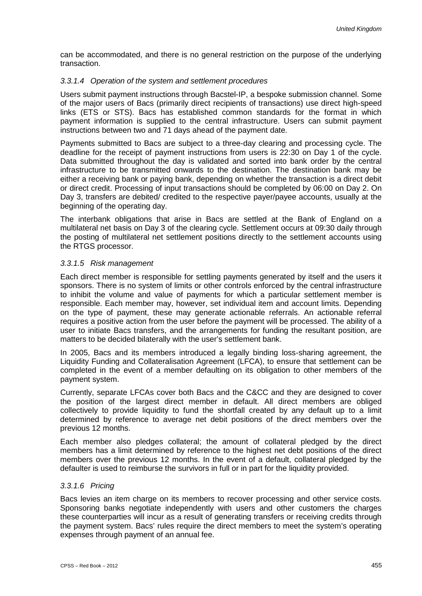can be accommodated, and there is no general restriction on the purpose of the underlying transaction.

### *3.3.1.4 Operation of the system and settlement procedures*

Users submit payment instructions through Bacstel-IP, a bespoke submission channel. Some of the major users of Bacs (primarily direct recipients of transactions) use direct high-speed links (ETS or STS). Bacs has established common standards for the format in which payment information is supplied to the central infrastructure. Users can submit payment instructions between two and 71 days ahead of the payment date.

Payments submitted to Bacs are subject to a three-day clearing and processing cycle. The deadline for the receipt of payment instructions from users is 22:30 on Day 1 of the cycle. Data submitted throughout the day is validated and sorted into bank order by the central infrastructure to be transmitted onwards to the destination. The destination bank may be either a receiving bank or paying bank, depending on whether the transaction is a direct debit or direct credit. Processing of input transactions should be completed by 06:00 on Day 2. On Day 3, transfers are debited/ credited to the respective payer/payee accounts, usually at the beginning of the operating day.

The interbank obligations that arise in Bacs are settled at the Bank of England on a multilateral net basis on Day 3 of the clearing cycle. Settlement occurs at 09:30 daily through the posting of multilateral net settlement positions directly to the settlement accounts using the RTGS processor.

### *3.3.1.5 Risk management*

Each direct member is responsible for settling payments generated by itself and the users it sponsors. There is no system of limits or other controls enforced by the central infrastructure to inhibit the volume and value of payments for which a particular settlement member is responsible. Each member may, however, set individual item and account limits. Depending on the type of payment, these may generate actionable referrals. An actionable referral requires a positive action from the user before the payment will be processed. The ability of a user to initiate Bacs transfers, and the arrangements for funding the resultant position, are matters to be decided bilaterally with the user's settlement bank.

In 2005, Bacs and its members introduced a legally binding loss-sharing agreement, the Liquidity Funding and Collateralisation Agreement (LFCA), to ensure that settlement can be completed in the event of a member defaulting on its obligation to other members of the payment system.

Currently, separate LFCAs cover both Bacs and the C&CC and they are designed to cover the position of the largest direct member in default. All direct members are obliged collectively to provide liquidity to fund the shortfall created by any default up to a limit determined by reference to average net debit positions of the direct members over the previous 12 months.

Each member also pledges collateral; the amount of collateral pledged by the direct members has a limit determined by reference to the highest net debt positions of the direct members over the previous 12 months. In the event of a default, collateral pledged by the defaulter is used to reimburse the survivors in full or in part for the liquidity provided.

### *3.3.1.6 Pricing*

Bacs levies an item charge on its members to recover processing and other service costs. Sponsoring banks negotiate independently with users and other customers the charges these counterparties will incur as a result of generating transfers or receiving credits through the payment system. Bacs' rules require the direct members to meet the system's operating expenses through payment of an annual fee.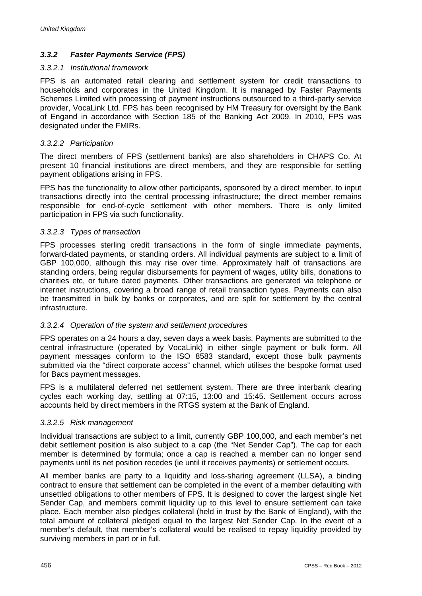### *3.3.2 Faster Payments Service (FPS)*

#### *3.3.2.1 Institutional framework*

FPS is an automated retail clearing and settlement system for credit transactions to households and corporates in the United Kingdom. It is managed by Faster Payments Schemes Limited with processing of payment instructions outsourced to a third-party service provider, VocaLink Ltd. FPS has been recognised by HM Treasury for oversight by the Bank of Engand in accordance with Section 185 of the Banking Act 2009. In 2010, FPS was designated under the FMIRs.

#### *3.3.2.2 Participation*

The direct members of FPS (settlement banks) are also shareholders in CHAPS Co. At present 10 financial institutions are direct members, and they are responsible for settling payment obligations arising in FPS.

FPS has the functionality to allow other participants, sponsored by a direct member, to input transactions directly into the central processing infrastructure; the direct member remains responsible for end-of-cycle settlement with other members. There is only limited participation in FPS via such functionality.

### *3.3.2.3 Types of transaction*

FPS processes sterling credit transactions in the form of single immediate payments, forward-dated payments, or standing orders. All individual payments are subject to a limit of GBP 100,000, although this may rise over time. Approximately half of transactions are standing orders, being regular disbursements for payment of wages, utility bills, donations to charities etc, or future dated payments. Other transactions are generated via telephone or internet instructions, covering a broad range of retail transaction types. Payments can also be transmitted in bulk by banks or corporates, and are split for settlement by the central infrastructure.

### *3.3.2.4 Operation of the system and settlement procedures*

FPS operates on a 24 hours a day, seven days a week basis. Payments are submitted to the central infrastructure (operated by VocaLink) in either single payment or bulk form. All payment messages conform to the ISO 8583 standard, except those bulk payments submitted via the "direct corporate access" channel, which utilises the bespoke format used for Bacs payment messages.

FPS is a multilateral deferred net settlement system. There are three interbank clearing cycles each working day, settling at 07:15, 13:00 and 15:45. Settlement occurs across accounts held by direct members in the RTGS system at the Bank of England.

#### *3.3.2.5 Risk management*

Individual transactions are subject to a limit, currently GBP 100,000, and each member's net debit settlement position is also subject to a cap (the "Net Sender Cap"). The cap for each member is determined by formula; once a cap is reached a member can no longer send payments until its net position recedes (ie until it receives payments) or settlement occurs.

All member banks are party to a liquidity and loss-sharing agreement (LLSA), a binding contract to ensure that settlement can be completed in the event of a member defaulting with unsettled obligations to other members of FPS. It is designed to cover the largest single Net Sender Cap, and members commit liquidity up to this level to ensure settlement can take place. Each member also pledges collateral (held in trust by the Bank of England), with the total amount of collateral pledged equal to the largest Net Sender Cap. In the event of a member's default, that member's collateral would be realised to repay liquidity provided by surviving members in part or in full.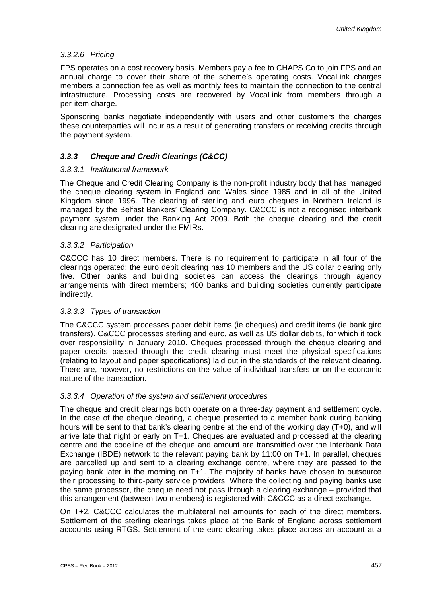### *3.3.2.6 Pricing*

FPS operates on a cost recovery basis. Members pay a fee to CHAPS Co to join FPS and an annual charge to cover their share of the scheme's operating costs. VocaLink charges members a connection fee as well as monthly fees to maintain the connection to the central infrastructure. Processing costs are recovered by VocaLink from members through a per-item charge.

Sponsoring banks negotiate independently with users and other customers the charges these counterparties will incur as a result of generating transfers or receiving credits through the payment system.

### *3.3.3 Cheque and Credit Clearings (C&CC)*

### *3.3.3.1 Institutional framework*

The Cheque and Credit Clearing Company is the non-profit industry body that has managed the cheque clearing system in England and Wales since 1985 and in all of the United Kingdom since 1996. The clearing of sterling and euro cheques in Northern Ireland is managed by the Belfast Bankers' Clearing Company. C&CCC is not a recognised interbank payment system under the Banking Act 2009. Both the cheque clearing and the credit clearing are designated under the FMIRs.

#### *3.3.3.2 Participation*

C&CCC has 10 direct members. There is no requirement to participate in all four of the clearings operated; the euro debit clearing has 10 members and the US dollar clearing only five. Other banks and building societies can access the clearings through agency arrangements with direct members; 400 banks and building societies currently participate indirectly.

### *3.3.3.3 Types of transaction*

The C&CCC system processes paper debit items (ie cheques) and credit items (ie bank giro transfers). C&CCC processes sterling and euro, as well as US dollar debits, for which it took over responsibility in January 2010. Cheques processed through the cheque clearing and paper credits passed through the credit clearing must meet the physical specifications (relating to layout and paper specifications) laid out in the standards of the relevant clearing. There are, however, no restrictions on the value of individual transfers or on the economic nature of the transaction.

### *3.3.3.4 Operation of the system and settlement procedures*

The cheque and credit clearings both operate on a three-day payment and settlement cycle. In the case of the cheque clearing, a cheque presented to a member bank during banking hours will be sent to that bank's clearing centre at the end of the working day (T+0), and will arrive late that night or early on T+1. Cheques are evaluated and processed at the clearing centre and the codeline of the cheque and amount are transmitted over the Interbank Data Exchange (IBDE) network to the relevant paying bank by 11:00 on T+1. In parallel, cheques are parcelled up and sent to a clearing exchange centre, where they are passed to the paying bank later in the morning on T+1. The majority of banks have chosen to outsource their processing to third-party service providers. Where the collecting and paying banks use the same processor, the cheque need not pass through a clearing exchange – provided that this arrangement (between two members) is registered with C&CCC as a direct exchange.

On T+2, C&CCC calculates the multilateral net amounts for each of the direct members. Settlement of the sterling clearings takes place at the Bank of England across settlement accounts using RTGS. Settlement of the euro clearing takes place across an account at a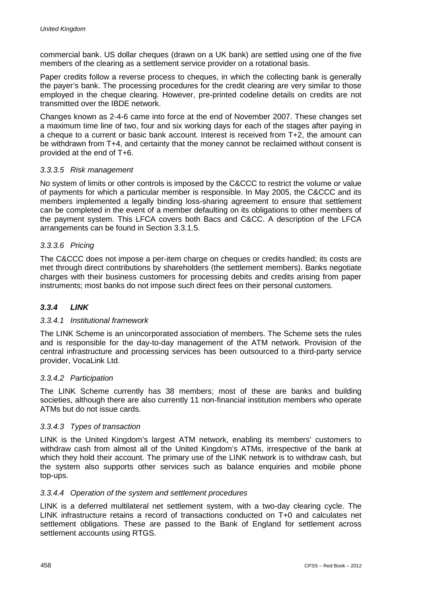commercial bank. US dollar cheques (drawn on a UK bank) are settled using one of the five members of the clearing as a settlement service provider on a rotational basis.

Paper credits follow a reverse process to cheques, in which the collecting bank is generally the payer's bank. The processing procedures for the credit clearing are very similar to those employed in the cheque clearing. However, pre-printed codeline details on credits are not transmitted over the IBDE network.

Changes known as 2-4-6 came into force at the end of November 2007. These changes set a maximum time line of two, four and six working days for each of the stages after paying in a cheque to a current or basic bank account. Interest is received from T+2, the amount can be withdrawn from T+4, and certainty that the money cannot be reclaimed without consent is provided at the end of T+6.

### *3.3.3.5 Risk management*

No system of limits or other controls is imposed by the C&CCC to restrict the volume or value of payments for which a particular member is responsible. In May 2005, the C&CCC and its members implemented a legally binding loss-sharing agreement to ensure that settlement can be completed in the event of a member defaulting on its obligations to other members of the payment system. This LFCA covers both Bacs and C&CC. A description of the LFCA arrangements can be found in Section 3.3.1.5.

### *3.3.3.6 Pricing*

The C&CCC does not impose a per-item charge on cheques or credits handled; its costs are met through direct contributions by shareholders (the settlement members). Banks negotiate charges with their business customers for processing debits and credits arising from paper instruments; most banks do not impose such direct fees on their personal customers.

### *3.3.4 LINK*

### *3.3.4.1 Institutional framework*

The LINK Scheme is an unincorporated association of members. The Scheme sets the rules and is responsible for the day-to-day management of the ATM network. Provision of the central infrastructure and processing services has been outsourced to a third-party service provider, VocaLink Ltd.

### *3.3.4.2 Participation*

The LINK Scheme currently has 38 members; most of these are banks and building societies, although there are also currently 11 non-financial institution members who operate ATMs but do not issue cards.

### *3.3.4.3 Types of transaction*

LINK is the United Kingdom's largest ATM network, enabling its members' customers to withdraw cash from almost all of the United Kingdom's ATMs, irrespective of the bank at which they hold their account. The primary use of the LINK network is to withdraw cash, but the system also supports other services such as balance enquiries and mobile phone top-ups.

### *3.3.4.4 Operation of the system and settlement procedures*

LINK is a deferred multilateral net settlement system, with a two-day clearing cycle. The LINK infrastructure retains a record of transactions conducted on T+0 and calculates net settlement obligations. These are passed to the Bank of England for settlement across settlement accounts using RTGS.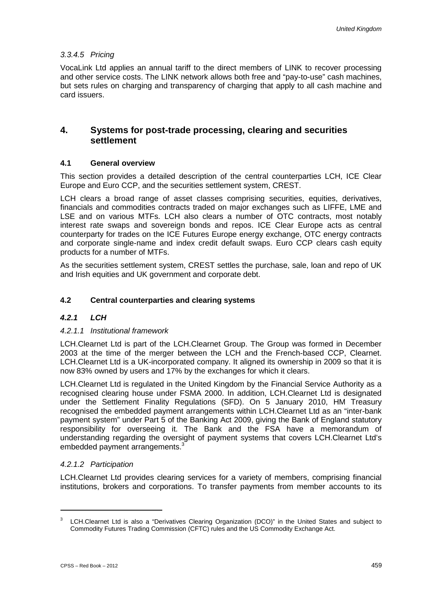### *3.3.4.5 Pricing*

VocaLink Ltd applies an annual tariff to the direct members of LINK to recover processing and other service costs. The LINK network allows both free and "pay-to-use" cash machines, but sets rules on charging and transparency of charging that apply to all cash machine and card issuers.

### **4. Systems for post-trade processing, clearing and securities settlement**

### **4.1 General overview**

This section provides a detailed description of the central counterparties LCH, ICE Clear Europe and Euro CCP, and the securities settlement system, CREST.

LCH clears a broad range of asset classes comprising securities, equities, derivatives, financials and commodities contracts traded on major exchanges such as LIFFE, LME and LSE and on various MTFs. LCH also clears a number of OTC contracts, most notably interest rate swaps and sovereign bonds and repos. ICE Clear Europe acts as central counterparty for trades on the ICE Futures Europe energy exchange, OTC energy contracts and corporate single-name and index credit default swaps. Euro CCP clears cash equity products for a number of MTFs.

As the securities settlement system, CREST settles the purchase, sale, loan and repo of UK and Irish equities and UK government and corporate debt.

### **4.2 Central counterparties and clearing systems**

### *4.2.1 LCH*

### *4.2.1.1 Institutional framework*

LCH.Clearnet Ltd is part of the LCH.Clearnet Group. The Group was formed in December 2003 at the time of the merger between the LCH and the French-based CCP, Clearnet. LCH.Clearnet Ltd is a UK-incorporated company. It aligned its ownership in 2009 so that it is now 83% owned by users and 17% by the exchanges for which it clears.

LCH.Clearnet Ltd is regulated in the United Kingdom by the Financial Service Authority as a recognised clearing house under FSMA 2000. In addition, LCH.Clearnet Ltd is designated under the Settlement Finality Regulations (SFD). On 5 January 2010, HM Treasury recognised the embedded payment arrangements within LCH.Clearnet Ltd as an "inter-bank payment system" under Part 5 of the Banking Act 2009, giving the Bank of England statutory responsibility for overseeing it. The Bank and the FSA have a memorandum of understanding regarding the oversight of payment systems that covers LCH.Clearnet Ltd's embedded payment arrangements.<sup>3</sup>

### *4.2.1.2 Participation*

LCH.Clearnet Ltd provides clearing services for a variety of members, comprising financial institutions, brokers and corporations. To transfer payments from member accounts to its

<u>.</u>

<sup>&</sup>lt;sup>3</sup> LCH.Clearnet Ltd is also a "Derivatives Clearing Organization (DCO)" in the United States and subject to Commodity Futures Trading Commission (CFTC) rules and the US Commodity Exchange Act.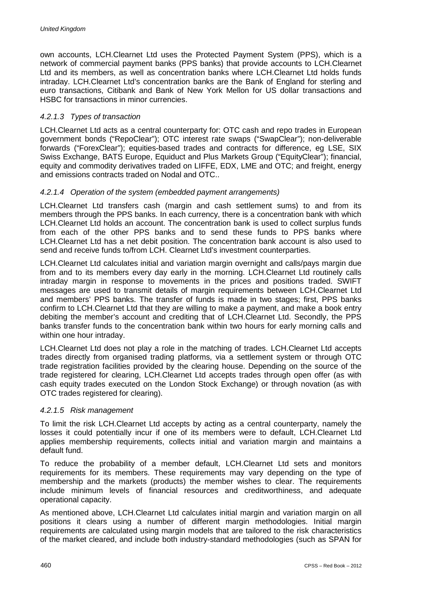own accounts, LCH.Clearnet Ltd uses the Protected Payment System (PPS), which is a network of commercial payment banks (PPS banks) that provide accounts to LCH.Clearnet Ltd and its members, as well as concentration banks where LCH.Clearnet Ltd holds funds intraday. LCH.Clearnet Ltd's concentration banks are the Bank of England for sterling and euro transactions, Citibank and Bank of New York Mellon for US dollar transactions and HSBC for transactions in minor currencies.

### *4.2.1.3 Types of transaction*

LCH.Clearnet Ltd acts as a central counterparty for: OTC cash and repo trades in European government bonds ("RepoClear"); OTC interest rate swaps ("SwapClear"); non-deliverable forwards ("ForexClear"); equities-based trades and contracts for difference, eg LSE, SIX Swiss Exchange, BATS Europe, Equiduct and Plus Markets Group ("EquityClear"); financial, equity and commodity derivatives traded on LIFFE, EDX, LME and OTC; and freight, energy and emissions contracts traded on Nodal and OTC..

### *4.2.1.4 Operation of the system (embedded payment arrangements)*

LCH.Clearnet Ltd transfers cash (margin and cash settlement sums) to and from its members through the PPS banks. In each currency, there is a concentration bank with which LCH.Clearnet Ltd holds an account. The concentration bank is used to collect surplus funds from each of the other PPS banks and to send these funds to PPS banks where LCH.Clearnet Ltd has a net debit position. The concentration bank account is also used to send and receive funds to/from LCH. Clearnet Ltd's investment counterparties.

LCH.Clearnet Ltd calculates initial and variation margin overnight and calls/pays margin due from and to its members every day early in the morning. LCH.Clearnet Ltd routinely calls intraday margin in response to movements in the prices and positions traded. SWIFT messages are used to transmit details of margin requirements between LCH.Clearnet Ltd and members' PPS banks. The transfer of funds is made in two stages; first, PPS banks confirm to LCH.Clearnet Ltd that they are willing to make a payment, and make a book entry debiting the member's account and crediting that of LCH.Clearnet Ltd. Secondly, the PPS banks transfer funds to the concentration bank within two hours for early morning calls and within one hour intraday.

LCH.Clearnet Ltd does not play a role in the matching of trades. LCH.Clearnet Ltd accepts trades directly from organised trading platforms, via a settlement system or through OTC trade registration facilities provided by the clearing house. Depending on the source of the trade registered for clearing, LCH.Clearnet Ltd accepts trades through open offer (as with cash equity trades executed on the London Stock Exchange) or through novation (as with OTC trades registered for clearing).

### *4.2.1.5 Risk management*

To limit the risk LCH.Clearnet Ltd accepts by acting as a central counterparty, namely the losses it could potentially incur if one of its members were to default, LCH.Clearnet Ltd applies membership requirements, collects initial and variation margin and maintains a default fund.

To reduce the probability of a member default, LCH.Clearnet Ltd sets and monitors requirements for its members. These requirements may vary depending on the type of membership and the markets (products) the member wishes to clear. The requirements include minimum levels of financial resources and creditworthiness, and adequate operational capacity.

As mentioned above, LCH.Clearnet Ltd calculates initial margin and variation margin on all positions it clears using a number of different margin methodologies. Initial margin requirements are calculated using margin models that are tailored to the risk characteristics of the market cleared, and include both industry-standard methodologies (such as SPAN for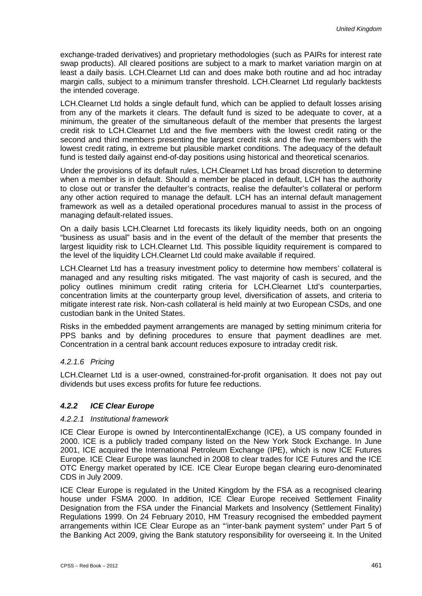exchange-traded derivatives) and proprietary methodologies (such as PAIRs for interest rate swap products). All cleared positions are subject to a mark to market variation margin on at least a daily basis. LCH.Clearnet Ltd can and does make both routine and ad hoc intraday margin calls, subject to a minimum transfer threshold. LCH.Clearnet Ltd regularly backtests the intended coverage.

LCH.Clearnet Ltd holds a single default fund, which can be applied to default losses arising from any of the markets it clears. The default fund is sized to be adequate to cover, at a minimum, the greater of the simultaneous default of the member that presents the largest credit risk to LCH.Clearnet Ltd and the five members with the lowest credit rating or the second and third members presenting the largest credit risk and the five members with the lowest credit rating, in extreme but plausible market conditions. The adequacy of the default fund is tested daily against end-of-day positions using historical and theoretical scenarios.

Under the provisions of its default rules, LCH.Clearnet Ltd has broad discretion to determine when a member is in default. Should a member be placed in default, LCH has the authority to close out or transfer the defaulter's contracts, realise the defaulter's collateral or perform any other action required to manage the default. LCH has an internal default management framework as well as a detailed operational procedures manual to assist in the process of managing default-related issues.

On a daily basis LCH.Clearnet Ltd forecasts its likely liquidity needs, both on an ongoing "business as usual" basis and in the event of the default of the member that presents the largest liquidity risk to LCH.Clearnet Ltd. This possible liquidity requirement is compared to the level of the liquidity LCH.Clearnet Ltd could make available if required.

LCH.Clearnet Ltd has a treasury investment policy to determine how members' collateral is managed and any resulting risks mitigated. The vast majority of cash is secured, and the policy outlines minimum credit rating criteria for LCH.Clearnet Ltd's counterparties, concentration limits at the counterparty group level, diversification of assets, and criteria to mitigate interest rate risk. Non-cash collateral is held mainly at two European CSDs, and one custodian bank in the United States.

Risks in the embedded payment arrangements are managed by setting minimum criteria for PPS banks and by defining procedures to ensure that payment deadlines are met. Concentration in a central bank account reduces exposure to intraday credit risk.

### *4.2.1.6 Pricing*

LCH.Clearnet Ltd is a user-owned, constrained-for-profit organisation. It does not pay out dividends but uses excess profits for future fee reductions.

### *4.2.2 ICE Clear Europe*

### *4.2.2.1 Institutional framework*

ICE Clear Europe is owned by IntercontinentalExchange (ICE), a US company founded in 2000. ICE is a publicly traded company listed on the New York Stock Exchange. In June 2001, ICE acquired the International Petroleum Exchange (IPE), which is now ICE Futures Europe. ICE Clear Europe was launched in 2008 to clear trades for ICE Futures and the ICE OTC Energy market operated by ICE. ICE Clear Europe began clearing euro-denominated CDS in July 2009.

ICE Clear Europe is regulated in the United Kingdom by the FSA as a recognised clearing house under FSMA 2000. In addition, ICE Clear Europe received Settlement Finality Designation from the FSA under the Financial Markets and Insolvency (Settlement Finality) Regulations 1999. On 24 February 2010, HM Treasury recognised the embedded payment arrangements within ICE Clear Europe as an "'inter-bank payment system" under Part 5 of the Banking Act 2009, giving the Bank statutory responsibility for overseeing it. In the United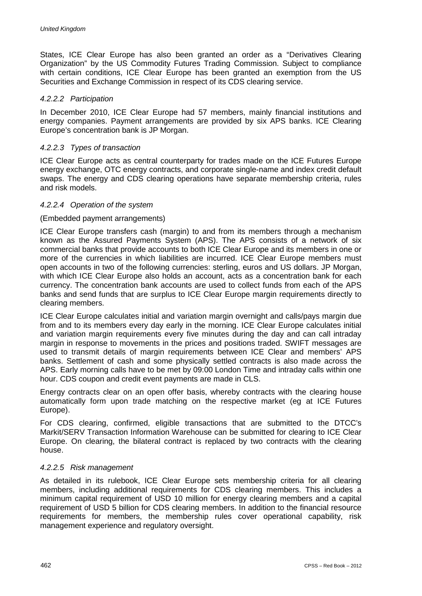States, ICE Clear Europe has also been granted an order as a "Derivatives Clearing Organization" by the US Commodity Futures Trading Commission. Subject to compliance with certain conditions, ICE Clear Europe has been granted an exemption from the US Securities and Exchange Commission in respect of its CDS clearing service.

#### *4.2.2.2 Participation*

In December 2010, ICE Clear Europe had 57 members, mainly financial institutions and energy companies. Payment arrangements are provided by six APS banks. ICE Clearing Europe's concentration bank is JP Morgan.

### *4.2.2.3 Types of transaction*

ICE Clear Europe acts as central counterparty for trades made on the ICE Futures Europe energy exchange, OTC energy contracts, and corporate single-name and index credit default swaps. The energy and CDS clearing operations have separate membership criteria, rules and risk models.

#### *4.2.2.4 Operation of the system*

#### (Embedded payment arrangements)

ICE Clear Europe transfers cash (margin) to and from its members through a mechanism known as the Assured Payments System (APS). The APS consists of a network of six commercial banks that provide accounts to both ICE Clear Europe and its members in one or more of the currencies in which liabilities are incurred. ICE Clear Europe members must open accounts in two of the following currencies: sterling, euros and US dollars. JP Morgan, with which ICE Clear Europe also holds an account, acts as a concentration bank for each currency. The concentration bank accounts are used to collect funds from each of the APS banks and send funds that are surplus to ICE Clear Europe margin requirements directly to clearing members.

ICE Clear Europe calculates initial and variation margin overnight and calls/pays margin due from and to its members every day early in the morning. ICE Clear Europe calculates initial and variation margin requirements every five minutes during the day and can call intraday margin in response to movements in the prices and positions traded. SWIFT messages are used to transmit details of margin requirements between ICE Clear and members' APS banks. Settlement of cash and some physically settled contracts is also made across the APS. Early morning calls have to be met by 09:00 London Time and intraday calls within one hour. CDS coupon and credit event payments are made in CLS.

Energy contracts clear on an open offer basis, whereby contracts with the clearing house automatically form upon trade matching on the respective market (eg at ICE Futures Europe).

For CDS clearing, confirmed, eligible transactions that are submitted to the DTCC's Markit/SERV Transaction Information Warehouse can be submitted for clearing to ICE Clear Europe. On clearing, the bilateral contract is replaced by two contracts with the clearing house.

#### *4.2.2.5 Risk management*

As detailed in its rulebook, ICE Clear Europe sets membership criteria for all clearing members, including additional requirements for CDS clearing members. This includes a minimum capital requirement of USD 10 million for energy clearing members and a capital requirement of USD 5 billion for CDS clearing members. In addition to the financial resource requirements for members, the membership rules cover operational capability, risk management experience and regulatory oversight.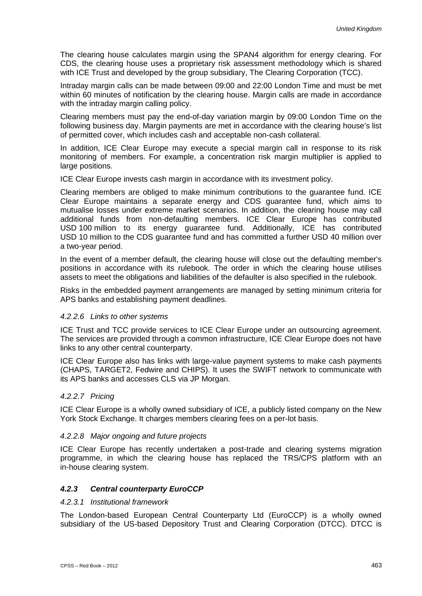The clearing house calculates margin using the SPAN4 algorithm for energy clearing. For CDS, the clearing house uses a proprietary risk assessment methodology which is shared with ICE Trust and developed by the group subsidiary, The Clearing Corporation (TCC).

Intraday margin calls can be made between 09:00 and 22:00 London Time and must be met within 60 minutes of notification by the clearing house. Margin calls are made in accordance with the intraday margin calling policy.

Clearing members must pay the end-of-day variation margin by 09:00 London Time on the following business day. Margin payments are met in accordance with the clearing house's list of permitted cover, which includes cash and acceptable non-cash collateral.

In addition, ICE Clear Europe may execute a special margin call in response to its risk monitoring of members. For example, a concentration risk margin multiplier is applied to large positions.

ICE Clear Europe invests cash margin in accordance with its investment policy.

Clearing members are obliged to make minimum contributions to the guarantee fund. ICE Clear Europe maintains a separate energy and CDS guarantee fund, which aims to mutualise losses under extreme market scenarios. In addition, the clearing house may call additional funds from non-defaulting members. ICE Clear Europe has contributed USD 100 million to its energy guarantee fund. Additionally, ICE has contributed USD 10 million to the CDS guarantee fund and has committed a further USD 40 million over a two-year period.

In the event of a member default, the clearing house will close out the defaulting member's positions in accordance with its rulebook. The order in which the clearing house utilises assets to meet the obligations and liabilities of the defaulter is also specified in the rulebook.

Risks in the embedded payment arrangements are managed by setting minimum criteria for APS banks and establishing payment deadlines.

### *4.2.2.6 Links to other systems*

ICE Trust and TCC provide services to ICE Clear Europe under an outsourcing agreement. The services are provided through a common infrastructure, ICE Clear Europe does not have links to any other central counterparty.

ICE Clear Europe also has links with large-value payment systems to make cash payments (CHAPS, TARGET2, Fedwire and CHIPS). It uses the SWIFT network to communicate with its APS banks and accesses CLS via JP Morgan.

#### *4.2.2.7 Pricing*

ICE Clear Europe is a wholly owned subsidiary of ICE, a publicly listed company on the New York Stock Exchange. It charges members clearing fees on a per-lot basis.

#### *4.2.2.8 Major ongoing and future projects*

ICE Clear Europe has recently undertaken a post-trade and clearing systems migration programme, in which the clearing house has replaced the TRS/CPS platform with an in-house clearing system.

### *4.2.3 Central counterparty EuroCCP*

#### *4.2.3.1 Institutional framework*

The London-based European Central Counterparty Ltd (EuroCCP) is a wholly owned subsidiary of the US-based Depository Trust and Clearing Corporation (DTCC). DTCC is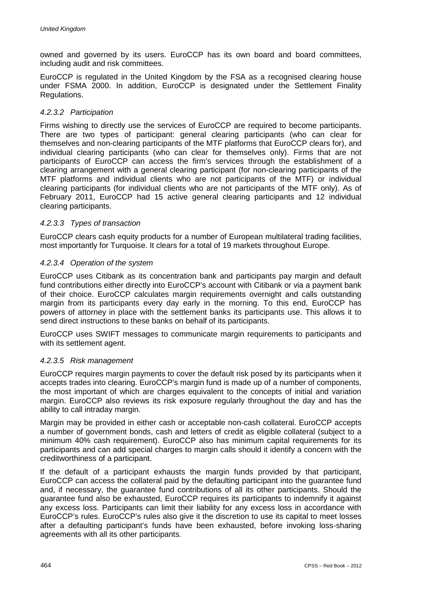owned and governed by its users. EuroCCP has its own board and board committees, including audit and risk committees.

EuroCCP is regulated in the United Kingdom by the FSA as a recognised clearing house under FSMA 2000. In addition, EuroCCP is designated under the Settlement Finality Regulations.

### *4.2.3.2 Participation*

Firms wishing to directly use the services of EuroCCP are required to become participants. There are two types of participant: general clearing participants (who can clear for themselves and non-clearing participants of the MTF platforms that EuroCCP clears for), and individual clearing participants (who can clear for themselves only). Firms that are not participants of EuroCCP can access the firm's services through the establishment of a clearing arrangement with a general clearing participant (for non-clearing participants of the MTF platforms and individual clients who are not participants of the MTF) or individual clearing participants (for individual clients who are not participants of the MTF only). As of February 2011, EuroCCP had 15 active general clearing participants and 12 individual clearing participants.

#### *4.2.3.3 Types of transaction*

EuroCCP clears cash equity products for a number of European multilateral trading facilities, most importantly for Turquoise. It clears for a total of 19 markets throughout Europe.

#### *4.2.3.4 Operation of the system*

EuroCCP uses Citibank as its concentration bank and participants pay margin and default fund contributions either directly into EuroCCP's account with Citibank or via a payment bank of their choice. EuroCCP calculates margin requirements overnight and calls outstanding margin from its participants every day early in the morning. To this end, EuroCCP has powers of attorney in place with the settlement banks its participants use. This allows it to send direct instructions to these banks on behalf of its participants.

EuroCCP uses SWIFT messages to communicate margin requirements to participants and with its settlement agent.

### *4.2.3.5 Risk management*

EuroCCP requires margin payments to cover the default risk posed by its participants when it accepts trades into clearing. EuroCCP's margin fund is made up of a number of components, the most important of which are charges equivalent to the concepts of initial and variation margin. EuroCCP also reviews its risk exposure regularly throughout the day and has the ability to call intraday margin.

Margin may be provided in either cash or acceptable non-cash collateral. EuroCCP accepts a number of government bonds, cash and letters of credit as eligible collateral (subject to a minimum 40% cash requirement). EuroCCP also has minimum capital requirements for its participants and can add special charges to margin calls should it identify a concern with the creditworthiness of a participant.

If the default of a participant exhausts the margin funds provided by that participant, EuroCCP can access the collateral paid by the defaulting participant into the guarantee fund and, if necessary, the guarantee fund contributions of all its other participants. Should the guarantee fund also be exhausted, EuroCCP requires its participants to indemnify it against any excess loss. Participants can limit their liability for any excess loss in accordance with EuroCCP's rules. EuroCCP's rules also give it the discretion to use its capital to meet losses after a defaulting participant's funds have been exhausted, before invoking loss-sharing agreements with all its other participants.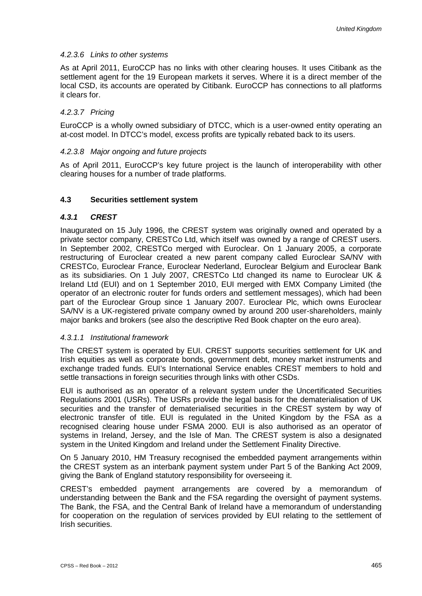### *4.2.3.6 Links to other systems*

As at April 2011, EuroCCP has no links with other clearing houses. It uses Citibank as the settlement agent for the 19 European markets it serves. Where it is a direct member of the local CSD, its accounts are operated by Citibank. EuroCCP has connections to all platforms it clears for.

### *4.2.3.7 Pricing*

EuroCCP is a wholly owned subsidiary of DTCC, which is a user-owned entity operating an at-cost model. In DTCC's model, excess profits are typically rebated back to its users.

### *4.2.3.8 Major ongoing and future projects*

As of April 2011, EuroCCP's key future project is the launch of interoperability with other clearing houses for a number of trade platforms.

### **4.3 Securities settlement system**

### *4.3.1 CREST*

Inaugurated on 15 July 1996, the CREST system was originally owned and operated by a private sector company, CRESTCo Ltd, which itself was owned by a range of CREST users. In September 2002, CRESTCo merged with Euroclear. On 1 January 2005, a corporate restructuring of Euroclear created a new parent company called Euroclear SA/NV with CRESTCo, Euroclear France, Euroclear Nederland, Euroclear Belgium and Euroclear Bank as its subsidiaries. On 1 July 2007, CRESTCo Ltd changed its name to Euroclear UK & Ireland Ltd (EUI) and on 1 September 2010, EUI merged with EMX Company Limited (the operator of an electronic router for funds orders and settlement messages), which had been part of the Euroclear Group since 1 January 2007. Euroclear Plc, which owns Euroclear SA/NV is a UK-registered private company owned by around 200 user-shareholders, mainly major banks and brokers (see also the descriptive Red Book chapter on the euro area).

### *4.3.1.1 Institutional framework*

The CREST system is operated by EUI. CREST supports securities settlement for UK and Irish equities as well as corporate bonds, government debt, money market instruments and exchange traded funds. EUI's International Service enables CREST members to hold and settle transactions in foreign securities through links with other CSDs.

EUI is authorised as an operator of a relevant system under the Uncertificated Securities Regulations 2001 (USRs). The USRs provide the legal basis for the dematerialisation of UK securities and the transfer of dematerialised securities in the CREST system by way of electronic transfer of title. EUI is regulated in the United Kingdom by the FSA as a recognised clearing house under FSMA 2000. EUI is also authorised as an operator of systems in Ireland, Jersey, and the Isle of Man. The CREST system is also a designated system in the United Kingdom and Ireland under the Settlement Finality Directive.

On 5 January 2010, HM Treasury recognised the embedded payment arrangements within the CREST system as an interbank payment system under Part 5 of the Banking Act 2009, giving the Bank of England statutory responsibility for overseeing it.

CREST's embedded payment arrangements are covered by a memorandum of understanding between the Bank and the FSA regarding the oversight of payment systems. The Bank, the FSA, and the Central Bank of Ireland have a memorandum of understanding for cooperation on the regulation of services provided by EUI relating to the settlement of Irish securities.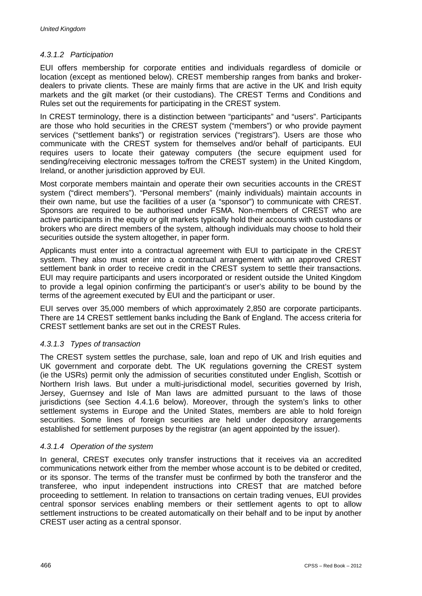### *4.3.1.2 Participation*

EUI offers membership for corporate entities and individuals regardless of domicile or location (except as mentioned below). CREST membership ranges from banks and brokerdealers to private clients. These are mainly firms that are active in the UK and Irish equity markets and the gilt market (or their custodians). The CREST Terms and Conditions and Rules set out the requirements for participating in the CREST system.

In CREST terminology, there is a distinction between "participants" and "users". Participants are those who hold securities in the CREST system ("members") or who provide payment services ("settlement banks") or registration services ("registrars"). Users are those who communicate with the CREST system for themselves and/or behalf of participants. EUI requires users to locate their gateway computers (the secure equipment used for sending/receiving electronic messages to/from the CREST system) in the United Kingdom, Ireland, or another jurisdiction approved by EUI.

Most corporate members maintain and operate their own securities accounts in the CREST system ("direct members"). "Personal members" (mainly individuals) maintain accounts in their own name, but use the facilities of a user (a "sponsor") to communicate with CREST. Sponsors are required to be authorised under FSMA. Non-members of CREST who are active participants in the equity or gilt markets typically hold their accounts with custodians or brokers who are direct members of the system, although individuals may choose to hold their securities outside the system altogether, in paper form.

Applicants must enter into a contractual agreement with EUI to participate in the CREST system. They also must enter into a contractual arrangement with an approved CREST settlement bank in order to receive credit in the CREST system to settle their transactions. EUI may require participants and users incorporated or resident outside the United Kingdom to provide a legal opinion confirming the participant's or user's ability to be bound by the terms of the agreement executed by EUI and the participant or user.

EUI serves over 35,000 members of which approximately 2,850 are corporate participants. There are 14 CREST settlement banks including the Bank of England. The access criteria for CREST settlement banks are set out in the CREST Rules.

### *4.3.1.3 Types of transaction*

The CREST system settles the purchase, sale, loan and repo of UK and Irish equities and UK government and corporate debt. The UK regulations governing the CREST system (ie the USRs) permit only the admission of securities constituted under English, Scottish or Northern Irish laws. But under a multi-jurisdictional model, securities governed by Irish, Jersey, Guernsey and Isle of Man laws are admitted pursuant to the laws of those jurisdictions (see Section 4.4.1.6 below). Moreover, through the system's links to other settlement systems in Europe and the United States, members are able to hold foreign securities. Some lines of foreign securities are held under depository arrangements established for settlement purposes by the registrar (an agent appointed by the issuer).

### *4.3.1.4 Operation of the system*

In general, CREST executes only transfer instructions that it receives via an accredited communications network either from the member whose account is to be debited or credited, or its sponsor. The terms of the transfer must be confirmed by both the transferor and the transferee, who input independent instructions into CREST that are matched before proceeding to settlement. In relation to transactions on certain trading venues, EUI provides central sponsor services enabling members or their settlement agents to opt to allow settlement instructions to be created automatically on their behalf and to be input by another CREST user acting as a central sponsor.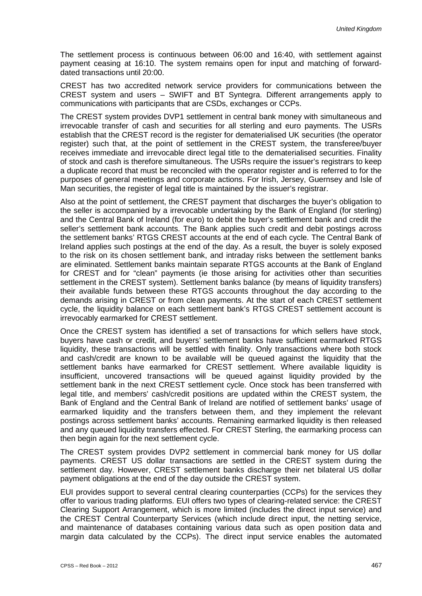The settlement process is continuous between 06:00 and 16:40, with settlement against payment ceasing at 16:10. The system remains open for input and matching of forwarddated transactions until 20:00.

CREST has two accredited network service providers for communications between the CREST system and users – SWIFT and BT Syntegra. Different arrangements apply to communications with participants that are CSDs, exchanges or CCPs.

The CREST system provides DVP1 settlement in central bank money with simultaneous and irrevocable transfer of cash and securities for all sterling and euro payments. The USRs establish that the CREST record is the register for dematerialised UK securities (the operator register) such that, at the point of settlement in the CREST system, the transferee/buyer receives immediate and irrevocable direct legal title to the dematerialised securities. Finality of stock and cash is therefore simultaneous. The USRs require the issuer's registrars to keep a duplicate record that must be reconciled with the operator register and is referred to for the purposes of general meetings and corporate actions. For Irish, Jersey, Guernsey and Isle of Man securities, the register of legal title is maintained by the issuer's registrar.

Also at the point of settlement, the CREST payment that discharges the buyer's obligation to the seller is accompanied by a irrevocable undertaking by the Bank of England (for sterling) and the Central Bank of Ireland (for euro) to debit the buyer's settlement bank and credit the seller's settlement bank accounts. The Bank applies such credit and debit postings across the settlement banks' RTGS CREST accounts at the end of each cycle. The Central Bank of Ireland applies such postings at the end of the day. As a result, the buyer is solely exposed to the risk on its chosen settlement bank, and intraday risks between the settlement banks are eliminated. Settlement banks maintain separate RTGS accounts at the Bank of England for CREST and for "clean" payments (ie those arising for activities other than securities settlement in the CREST system). Settlement banks balance (by means of liquidity transfers) their available funds between these RTGS accounts throughout the day according to the demands arising in CREST or from clean payments. At the start of each CREST settlement cycle, the liquidity balance on each settlement bank's RTGS CREST settlement account is irrevocably earmarked for CREST settlement.

Once the CREST system has identified a set of transactions for which sellers have stock, buyers have cash or credit, and buyers' settlement banks have sufficient earmarked RTGS liquidity, these transactions will be settled with finality. Only transactions where both stock and cash/credit are known to be available will be queued against the liquidity that the settlement banks have earmarked for CREST settlement. Where available liquidity is insufficient, uncovered transactions will be queued against liquidity provided by the settlement bank in the next CREST settlement cycle. Once stock has been transferred with legal title, and members' cash/credit positions are updated within the CREST system, the Bank of England and the Central Bank of Ireland are notified of settlement banks' usage of earmarked liquidity and the transfers between them, and they implement the relevant postings across settlement banks' accounts. Remaining earmarked liquidity is then released and any queued liquidity transfers effected. For CREST Sterling, the earmarking process can then begin again for the next settlement cycle.

The CREST system provides DVP2 settlement in commercial bank money for US dollar payments. CREST US dollar transactions are settled in the CREST system during the settlement day. However, CREST settlement banks discharge their net bilateral US dollar payment obligations at the end of the day outside the CREST system.

EUI provides support to several central clearing counterparties (CCPs) for the services they offer to various trading platforms. EUI offers two types of clearing-related service: the CREST Clearing Support Arrangement, which is more limited (includes the direct input service) and the CREST Central Counterparty Services (which include direct input, the netting service, and maintenance of databases containing various data such as open position data and margin data calculated by the CCPs). The direct input service enables the automated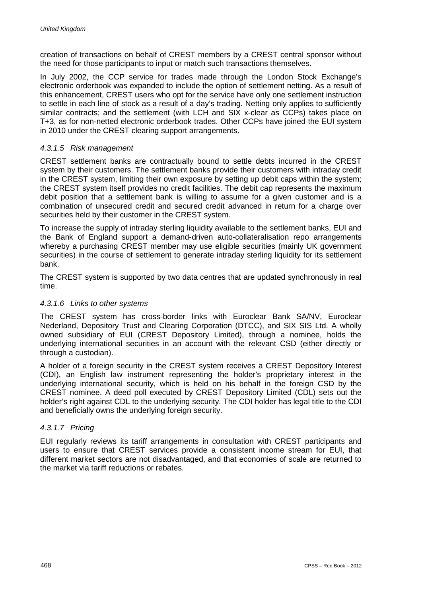creation of transactions on behalf of CREST members by a CREST central sponsor without the need for those participants to input or match such transactions themselves.

In July 2002, the CCP service for trades made through the London Stock Exchange's electronic orderbook was expanded to include the option of settlement netting. As a result of this enhancement, CREST users who opt for the service have only one settlement instruction to settle in each line of stock as a result of a day's trading. Netting only applies to sufficiently similar contracts; and the settlement (with LCH and SIX x-clear as CCPs) takes place on T+3, as for non-netted electronic orderbook trades. Other CCPs have joined the EUI system in 2010 under the CREST clearing support arrangements.

### *4.3.1.5 Risk management*

CREST settlement banks are contractually bound to settle debts incurred in the CREST system by their customers. The settlement banks provide their customers with intraday credit in the CREST system, limiting their own exposure by setting up debit caps within the system; the CREST system itself provides no credit facilities. The debit cap represents the maximum debit position that a settlement bank is willing to assume for a given customer and is a combination of unsecured credit and secured credit advanced in return for a charge over securities held by their customer in the CREST system.

To increase the supply of intraday sterling liquidity available to the settlement banks, EUI and the Bank of England support a demand-driven auto-collateralisation repo arrangements whereby a purchasing CREST member may use eligible securities (mainly UK government securities) in the course of settlement to generate intraday sterling liquidity for its settlement bank.

The CREST system is supported by two data centres that are updated synchronously in real time.

### *4.3.1.6 Links to other systems*

The CREST system has cross-border links with Euroclear Bank SA/NV, Euroclear Nederland, Depository Trust and Clearing Corporation (DTCC), and SIX SIS Ltd. A wholly owned subsidiary of EUI (CREST Depository Limited), through a nominee, holds the underlying international securities in an account with the relevant CSD (either directly or through a custodian).

A holder of a foreign security in the CREST system receives a CREST Depository Interest (CDI), an English law instrument representing the holder's proprietary interest in the underlying international security, which is held on his behalf in the foreign CSD by the CREST nominee. A deed poll executed by CREST Depository Limited (CDL) sets out the holder's right against CDL to the underlying security. The CDI holder has legal title to the CDI and beneficially owns the underlying foreign security.

### *4.3.1.7 Pricing*

EUI regularly reviews its tariff arrangements in consultation with CREST participants and users to ensure that CREST services provide a consistent income stream for EUI, that different market sectors are not disadvantaged, and that economies of scale are returned to the market via tariff reductions or rebates.